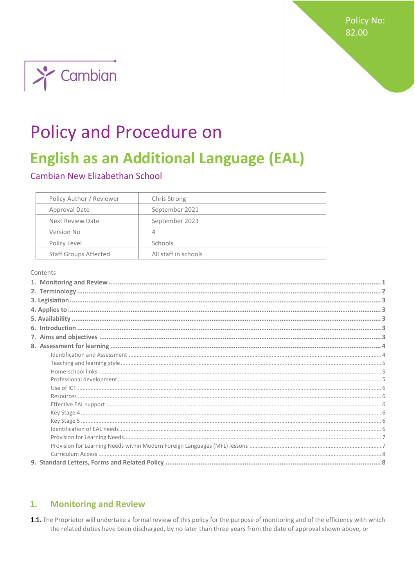**Policy No:** 82.00



# **Policy and Procedure on**

## **English as an Additional Language (EAL)**

Cambian New Elizabethan School

| Policy Author / Reviewer     | Chris Strong         |
|------------------------------|----------------------|
| Approval Date                | September 2021       |
| Next Review Date             | September 2023       |
| Version No                   | 4                    |
| Policy Level                 | Schools              |
| <b>Staff Groups Affected</b> | All staff in schools |

Contents

#### <span id="page-0-0"></span>**Monitoring and Review**  $1.$

1.1. The Proprietor will undertake a formal review of this policy for the purpose of monitoring and of the efficiency with which the related duties have been discharged, by no later than three years from the date of approval shown above, or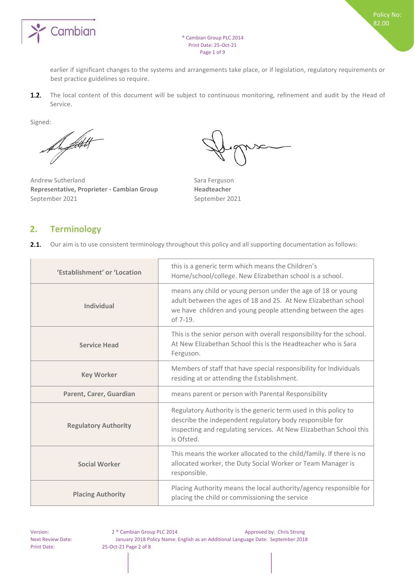

earlier if significant changes to the systems and arrangements take place, or if legislation, regulatory requirements or best practice guidelines so require.

 $1.2.$ The local content of this document will be subject to continuous monitoring, refinement and audit by the Head of Service.

Signed:

Botht

Andrew Sutherland Sara Ferguson **Representative, Proprieter - Cambian Group Headteacher**  September 2021 September 2021

## <span id="page-1-0"></span>**2. Terminology**

 $2.1.$ Our aim is to use consistent terminology throughout this policy and all supporting documentation as follows:

| 'Establishment' or 'Location | this is a generic term which means the Children's<br>Home/school/college. New Elizabethan school is a school.                                                                                                   |  |
|------------------------------|-----------------------------------------------------------------------------------------------------------------------------------------------------------------------------------------------------------------|--|
| <b>Individual</b>            | means any child or young person under the age of 18 or young<br>adult between the ages of 18 and 25. At New Elizabethan school<br>we have children and young people attending between the ages<br>of $7-19$ .   |  |
| <b>Service Head</b>          | This is the senior person with overall responsibility for the school.<br>At New Elizabethan School this is the Headteacher who is Sara<br>Ferguson.                                                             |  |
| <b>Key Worker</b>            | Members of staff that have special responsibility for Individuals<br>residing at or attending the Establishment.                                                                                                |  |
| Parent, Carer, Guardian      | means parent or person with Parental Responsibility                                                                                                                                                             |  |
| <b>Regulatory Authority</b>  | Regulatory Authority is the generic term used in this policy to<br>describe the independent regulatory body responsible for<br>inspecting and regulating services. At New Elizabethan School this<br>is Ofsted. |  |
| <b>Social Worker</b>         | This means the worker allocated to the child/family. If there is no<br>allocated worker, the Duty Social Worker or Team Manager is<br>responsible.                                                              |  |
| <b>Placing Authority</b>     | Placing Authority means the local authority/agency responsible for<br>placing the child or commissioning the service                                                                                            |  |

Version: 2 ® Cambian Group PLC 2014 Approved by: Chris Strong Next Review Date: January 2018 Policy Name: English as an Additional Language Date: September 2018 Print Date: 25-Oct-21 Page 2 of 8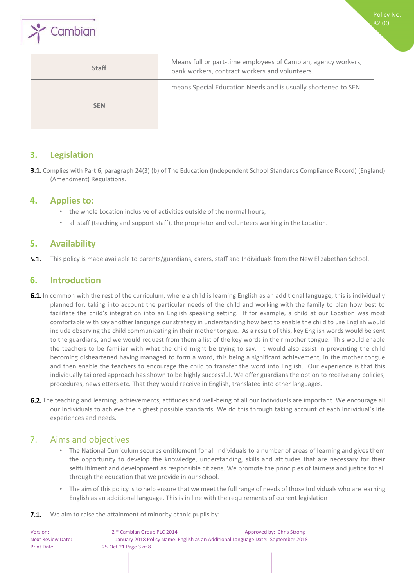

| <b>Staff</b> | Means full or part-time employees of Cambian, agency workers,<br>bank workers, contract workers and volunteers. |
|--------------|-----------------------------------------------------------------------------------------------------------------|
| <b>SEN</b>   | means Special Education Needs and is usually shortened to SEN.                                                  |

## <span id="page-2-0"></span>**3. Legislation**

3.1. Complies with Part 6, paragraph 24(3) (b) of The Education (Independent School Standards Compliance Record) (England) (Amendment) Regulations.

## <span id="page-2-1"></span>**4. Applies to:**

- the whole Location inclusive of activities outside of the normal hours;
- all staff (teaching and support staff), the proprietor and volunteers working in the Location.

## <span id="page-2-2"></span>**5. Availability**

 $5.1.$ This policy is made available to parents/guardians, carers, staff and Individuals from the New Elizabethan School.

## <span id="page-2-3"></span>**6. Introduction**

- 6.1. In common with the rest of the curriculum, where a child is learning English as an additional language, this is individually planned for, taking into account the particular needs of the child and working with the family to plan how best to facilitate the child's integration into an English speaking setting. If for example, a child at our Location was most comfortable with say another language our strategy in understanding how best to enable the child to use English would include observing the child communicating in their mother tongue. As a result of this, key English words would be sent to the guardians, and we would request from them a list of the key words in their mother tongue. This would enable the teachers to be familiar with what the child might be trying to say. It would also assist in preventing the child becoming disheartened having managed to form a word, this being a significant achievement, in the mother tongue and then enable the teachers to encourage the child to transfer the word into English. Our experience is that this individually tailored approach has shown to be highly successful. We offer guardians the option to receive any policies, procedures, newsletters etc. That they would receive in English, translated into other languages.
- 6.2. The teaching and learning, achievements, attitudes and well-being of all our Individuals are important. We encourage all our Individuals to achieve the highest possible standards. We do this through taking account of each Individual's life experiences and needs.

## <span id="page-2-4"></span>7. Aims and objectives

- The National Curriculum secures entitlement for all Individuals to a number of areas of learning and gives them the opportunity to develop the knowledge, understanding, skills and attitudes that are necessary for their selffulfilment and development as responsible citizens. We promote the principles of fairness and justice for all through the education that we provide in our school.
- The aim of this policy is to help ensure that we meet the full range of needs of those Individuals who are learning English as an additional language. This is in line with the requirements of current legislation

#### **7.1.** We aim to raise the attainment of minority ethnic pupils by:

Version: 2 ® Cambian Group PLC 2014 Approved by: Chris Strong Next Review Date: January 2018 Policy Name: English as an Additional Language Date: September 2018 Print Date: 25-Oct-21 Page 3 of 8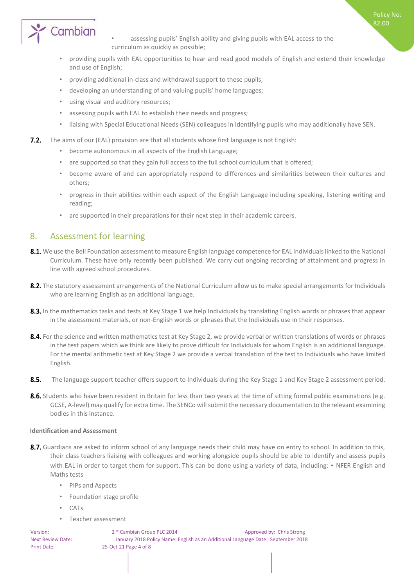

assessing pupils' English ability and giving pupils with EAL access to the curriculum as quickly as possible;

Policy No: 82.00

- providing pupils with EAL opportunities to hear and read good models of English and extend their knowledge and use of English;
- providing additional in-class and withdrawal support to these pupils;
- developing an understanding of and valuing pupils' home languages;
- using visual and auditory resources;
- assessing pupils with EAL to establish their needs and progress;
- liaising with Special Educational Needs (SEN) colleagues in identifying pupils who may additionally have SEN.
- **7.2.** The aims of our (EAL) provision are that all students whose first language is not English:
	- become autonomous in all aspects of the English Language;
	- are supported so that they gain full access to the full school curriculum that is offered;
	- become aware of and can appropriately respond to differences and similarities between their cultures and others;
	- progress in their abilities within each aspect of the English Language including speaking, listening writing and reading;
	- are supported in their preparations for their next step in their academic careers.

## <span id="page-3-0"></span>8. Assessment for learning

- 8.1. We use the Bell Foundation assessment to measure English language competence for EAL Individuals linked to the National Curriculum. These have only recently been published. We carry out ongoing recording of attainment and progress in line with agreed school procedures.
- 8.2. The statutory assessment arrangements of the National Curriculum allow us to make special arrangements for Individuals who are learning English as an additional language.
- 8.3. In the mathematics tasks and tests at Key Stage 1 we help Individuals by translating English words or phrases that appear in the assessment materials, or non-English words or phrases that the Individuals use in their responses.
- 8.4. For the science and written mathematics test at Key Stage 2, we provide verbal or written translations of words or phrases in the test papers which we think are likely to prove difficult for Individuals for whom English is an additional language. For the mental arithmetic test at Key Stage 2 we provide a verbal translation of the test to Individuals who have limited English.
- $8.5.$ The language support teacher offers support to Individuals during the Key Stage 1 and Key Stage 2 assessment period.
- 8.6. Students who have been resident in Britain for less than two years at the time of sitting formal public examinations (e.g. GCSE, A-level) may qualify for extra time. The SENCo will submit the necessary documentation to the relevant examining bodies in this instance.

#### <span id="page-3-1"></span>**Identification and Assessment**

- 8.7. Guardians are asked to inform school of any language needs their child may have on entry to school. In addition to this, their class teachers liaising with colleagues and working alongside pupils should be able to identify and assess pupils with EAL in order to target them for support. This can be done using a variety of data, including: • NFER English and Maths tests
	- PIPs and Aspects
	- Foundation stage profile
	- CATs
	- Teacher assessment

Version: 2 ® Cambian Group PLC 2014 Approved by: Chris Strong Next Review Date: January 2018 Policy Name: English as an Additional Language Date: September 2018 Print Date: 25-Oct-21 Page 4 of 8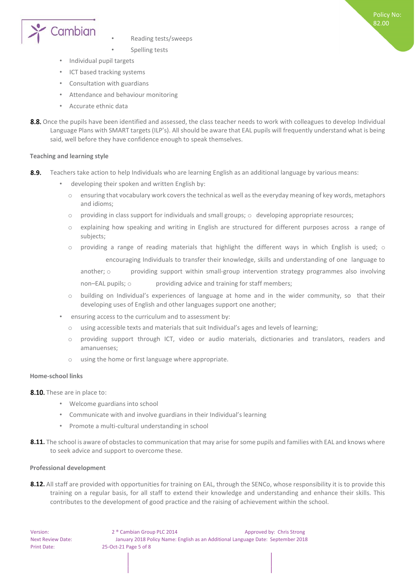

- Reading tests/sweeps
- Spelling tests
- Individual pupil targets
- ICT based tracking systems
- Consultation with guardians
- Attendance and behaviour monitoring
- Accurate ethnic data
- 8.8. Once the pupils have been identified and assessed, the class teacher needs to work with colleagues to develop Individual Language Plans with SMART targets (ILP's). All should be aware that EAL pupils will frequently understand what is being said, well before they have confidence enough to speak themselves.

#### <span id="page-4-0"></span>**Teaching and learning style**

- 8.9. Teachers take action to help Individuals who are learning English as an additional language by various means:
	- developing their spoken and written English by:
		- o ensuring that vocabulary work covers the technical as well as the everyday meaning of key words, metaphors and idioms;
		- $\circ$  providing in class support for individuals and small groups;  $\circ$  developing appropriate resources;
		- o explaining how speaking and writing in English are structured for different purposes across a range of subjects;
		- $\circ$  providing a range of reading materials that highlight the different ways in which English is used;  $\circ$ encouraging Individuals to transfer their knowledge, skills and understanding of one language to
			- another; o providing support within small-group intervention strategy programmes also involving
			- non–EAL pupils; o providing advice and training for staff members;
		- o building on Individual's experiences of language at home and in the wider community, so that their developing uses of English and other languages support one another;
	- ensuring access to the curriculum and to assessment by:
		- o using accessible texts and materials that suit Individual's ages and levels of learning;
		- o providing support through ICT, video or audio materials, dictionaries and translators, readers and amanuenses;
		- using the home or first language where appropriate.

#### <span id="page-4-1"></span>**Home-school links**

- 8.10. These are in place to:
	- Welcome guardians into school
	- Communicate with and involve guardians in their Individual's learning
	- Promote a multi-cultural understanding in school
- 8.11. The school is aware of obstacles to communication that may arise for some pupils and families with EAL and knows where to seek advice and support to overcome these.

#### <span id="page-4-2"></span>**Professional development**

8.12. All staff are provided with opportunities for training on EAL, through the SENCo, whose responsibility it is to provide this training on a regular basis, for all staff to extend their knowledge and understanding and enhance their skills. This contributes to the development of good practice and the raising of achievement within the school.

Version: 2<sup>®</sup> Cambian Group PLC 2014 Approved by: Chris Strong Next Review Date: January 2018 Policy Name: English as an Additional Language Date: September 2018 Print Date: 25-Oct-21 Page 5 of 8

Policy No: 82.00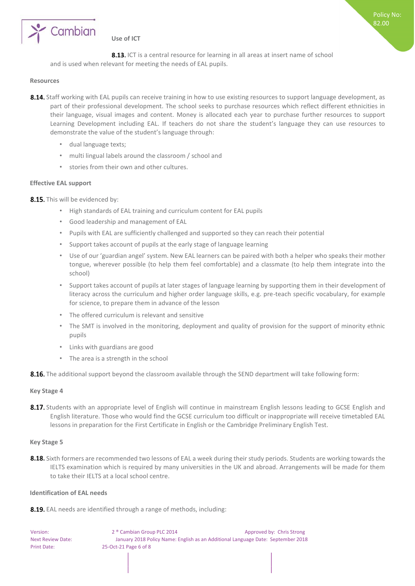

### <span id="page-5-0"></span>**Use of ICT**

8.13. ICT is a central resource for learning in all areas at insert name of school and is used when relevant for meeting the needs of EAL pupils.

#### <span id="page-5-1"></span>**Resources**

- 8.14. Staff working with EAL pupils can receive training in how to use existing resources to support language development, as part of their professional development. The school seeks to purchase resources which reflect different ethnicities in their language, visual images and content. Money is allocated each year to purchase further resources to support Learning Development including EAL. If teachers do not share the student's language they can use resources to demonstrate the value of the student's language through:
	- dual language texts;
	- multi lingual labels around the classroom / school and
	- stories from their own and other cultures.

#### <span id="page-5-2"></span>**Effective EAL support**

8.15. This will be evidenced by:

- High standards of EAL training and curriculum content for EAL pupils
- Good leadership and management of EAL
- Pupils with EAL are sufficiently challenged and supported so they can reach their potential
- Support takes account of pupils at the early stage of language learning
- Use of our 'guardian angel' system. New EAL learners can be paired with both a helper who speaks their mother tongue, wherever possible (to help them feel comfortable) and a classmate (to help them integrate into the school)
- Support takes account of pupils at later stages of language learning by supporting them in their development of literacy across the curriculum and higher order language skills, e.g. pre-teach specific vocabulary, for example for science, to prepare them in advance of the lesson
- The offered curriculum is relevant and sensitive
- The SMT is involved in the monitoring, deployment and quality of provision for the support of minority ethnic pupils
- Links with guardians are good
- The area is a strength in the school
- 8.16. The additional support beyond the classroom available through the SEND department will take following form:

#### <span id="page-5-3"></span>**Key Stage 4**

8.17. Students with an appropriate level of English will continue in mainstream English lessons leading to GCSE English and English literature. Those who would find the GCSE curriculum too difficult or inappropriate will receive timetabled EAL lessons in preparation for the First Certificate in English or the Cambridge Preliminary English Test.

#### <span id="page-5-4"></span>**Key Stage 5**

8.18. Sixth formers are recommended two lessons of EAL a week during their study periods. Students are working towards the IELTS examination which is required by many universities in the UK and abroad. Arrangements will be made for them to take their IELTS at a local school centre.

#### <span id="page-5-5"></span>**Identification of EAL needs**

8.19. EAL needs are identified through a range of methods, including:

Version: 2 ® Cambian Group PLC 2014 Approved by: Chris Strong Next Review Date: January 2018 Policy Name: English as an Additional Language Date: September 2018 Print Date: 25-Oct-21 Page 6 of 8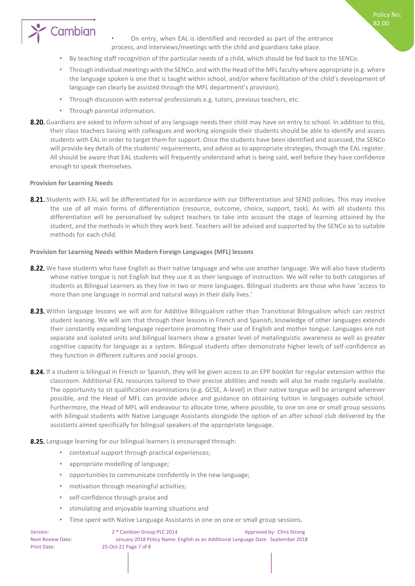

• On entry, when EAL is identified and recorded as part of the entrance process, and interviews/meetings with the child and guardians take place.

- By teaching staff recognition of the particular needs of a child, which should be fed back to the SENCo.
- Through individual meetings with the SENCo, and with the Head of the MFL faculty where appropriate (e.g. where the language spoken is one that is taught within school, and/or where facilitation of the child's development of language can clearly be assisted through the MFL department's provision).
- Through discussion with external professionals e.g. tutors, previous teachers, etc.
- Through parental information.
- 8.20. Guardians are asked to inform school of any language needs their child may have on entry to school. In addition to this, their class teachers liaising with colleagues and working alongside their students should be able to identify and assess students with EAL in order to target them for support. Once the students have been identified and assessed, the SENCo will provide key details of the students' requirements, and advice as to appropriate strategies, through the EAL register. All should be aware that EAL students will frequently understand what is being said, well before they have confidence enough to speak themselves.

#### <span id="page-6-0"></span>**Provision for Learning Needs**

8.21. Students with EAL will be differentiated for in accordance with our Differentiation and SEND policies. This may involve the use of all main forms of differentiation (resource, outcome, choice, support, task). As with all students this differentiation will be personalised by subject teachers to take into account the stage of learning attained by the student, and the methods in which they work best. Teachers will be advised and supported by the SENCo as to suitable methods for each child.

#### <span id="page-6-1"></span>**Provision for Learning Needs within Modern Foreign Languages (MFL) lessons**

- 8.22. We have students who have English as their native language and who use another language. We will also have students whose native tongue is not English but they use it as their language of instruction. We will refer to both categories of students as Bilingual Learners as they live in two or more languages. Bilingual students are those who have 'access to more than one language in normal and natural ways in their daily lives.'
- 8.23. Within language lessons we will aim for Additive Bilingualism rather than Transitional Bilingualism which can restrict student leaning. We will aim that through their lessons in French and Spanish, knowledge of other languages extends their constantly expanding language repertoire promoting their use of English and mother tongue. Languages are not separate and isolated units and bilingual learners show a greater level of metalinguistic awareness as well as greater cognitive capacity for language as a system. Bilingual students often demonstrate higher levels of self-confidence as they function in different cultures and social groups.
- 8.24. If a student is bilingual in French or Spanish, they will be given access to an EPP booklet for regular extension within the classroom. Additional EAL resources tailored to their precise abilities and needs will also be made regularly available. The opportunity to sit qualification examinations (e.g. GCSE, A-level) in their native tongue will be arranged wherever possible, and the Head of MFL can provide advice and guidance on obtaining tuition in languages outside school. Furthermore, the Head of MFL will endeavour to allocate time, where possible, to one on one or small group sessions with bilingual students with Native Language Assistants alongside the option of an after school club delivered by the assistants aimed specifically for bilingual speakers of the appropriate language.
- 8.25. Language learning for our bilingual learners is encouraged through:
	- contextual support through practical experiences;
	- appropriate modelling of language;
	- opportunities to communicate confidently in the new language;
	- motivation through meaningful activities;
	- self-confidence through praise and
	- stimulating and enjoyable learning situations and
	- Time spent with Native Language Assistants in one on one or small group sessions.

| Version:                 | 2 <sup>®</sup> Cambian Group PLC 2014                                            | Approved by: Chris Strong |
|--------------------------|----------------------------------------------------------------------------------|---------------------------|
| <b>Next Review Date:</b> | January 2018 Policy Name: English as an Additional Language Date: September 2018 |                           |
| <b>Print Date:</b>       | 25-Oct-21 Page 7 of 8                                                            |                           |